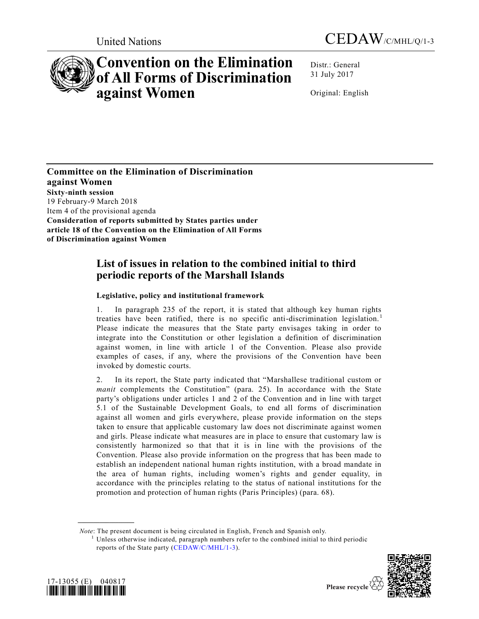



# **Convention on the Elimination of All Forms of Discrimination against Women**

Distr.: General 31 July 2017

Original: English

**Committee on the Elimination of Discrimination against Women Sixty-ninth session** 19 February-9 March 2018 Item 4 of the provisional agenda **Consideration of reports submitted by States parties under article 18 of the Convention on the Elimination of All Forms of Discrimination against Women**

# **List of issues in relation to the combined initial to third periodic reports of the Marshall Islands**

# **Legislative, policy and institutional framework**

1. In paragraph 235 of the report, it is stated that although key human rights treaties have been ratified, there is no specific anti-discrimination legislation.<sup>1</sup> Please indicate the measures that the State party envisages taking in order to integrate into the Constitution or other legislation a definition of discrimination against women, in line with article 1 of the Convention. Please also provide examples of cases, if any, where the provisions of the Convention have been invoked by domestic courts.

2. In its report, the State party indicated that "Marshallese traditional custom or *manit* complements the Constitution" (para. 25). In accordance with the State party's obligations under articles 1 and 2 of the Convention and in line with target 5.1 of the Sustainable Development Goals, to end all forms of discrimination against all women and girls everywhere, please provide information on the steps taken to ensure that applicable customary law does not discriminate against women and girls. Please indicate what measures are in place to ensure that customary law is consistently harmonized so that that it is in line with the provisions of the Convention. Please also provide information on the progress that has been made to establish an independent national human rights institution, with a broad mandate in the area of human rights, including women's rights and gender equality, in accordance with the principles relating to the status of national institutions for the promotion and protection of human rights (Paris Principles) (para. 68).

*Note*: The present document is being circulated in English, French and Spanish only.

 $<sup>1</sup>$  Unless otherwise indicated, paragraph numbers refer to the combined initial to third periodic</sup> reports of the State party [\(CEDAW/C/MHL/1-3\)](https://undocs.org/CEDAW/C/MHL/1).



**\_\_\_\_\_\_\_\_\_\_\_\_\_\_\_\_\_\_**

Please recycle  $\overline{\mathcal{C}}$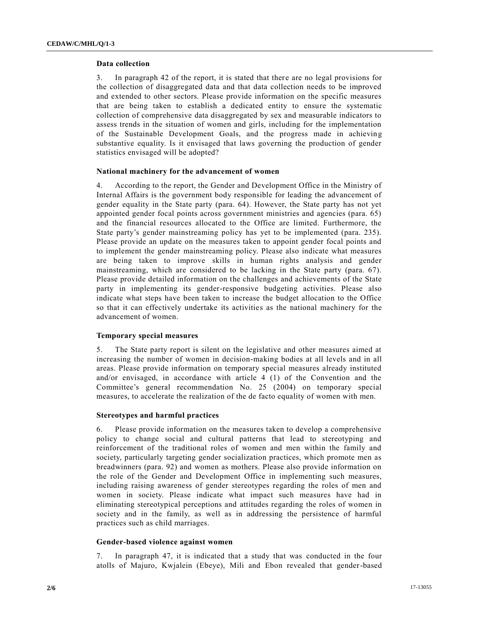#### **Data collection**

3. In paragraph 42 of the report, it is stated that there are no legal provisions for the collection of disaggregated data and that data collection needs to be improved and extended to other sectors. Please provide information on the specific measures that are being taken to establish a dedicated entity to ensure the systematic collection of comprehensive data disaggregated by sex and measurable indicators to assess trends in the situation of women and girls, including for the implementation of the Sustainable Development Goals, and the progress made in achieving substantive equality. Is it envisaged that laws governing the production of gender statistics envisaged will be adopted?

# **National machinery for the advancement of women**

4. According to the report, the Gender and Development Office in the Ministry of Internal Affairs is the government body responsible for leading the advancement of gender equality in the State party (para. 64). However, the State party has not yet appointed gender focal points across government ministries and agencies (para. 65) and the financial resources allocated to the Office are limited. Furthermore, the State party's gender mainstreaming policy has yet to be implemented (para. 235). Please provide an update on the measures taken to appoint gender focal points and to implement the gender mainstreaming policy. Please also indicate what measures are being taken to improve skills in human rights analysis and gender mainstreaming, which are considered to be lacking in the State party (para. 67). Please provide detailed information on the challenges and achievements of the State party in implementing its gender-responsive budgeting activities. Please also indicate what steps have been taken to increase the budget allocation to the Office so that it can effectively undertake its activities as the national machinery for the advancement of women.

# **Temporary special measures**

5. The State party report is silent on the legislative and other measures aimed at increasing the number of women in decision-making bodies at all levels and in all areas. Please provide information on temporary special measures already instituted and/or envisaged, in accordance with article 4 (1) of the Convention and the Committee's general recommendation No. 25 (2004) on temporary special measures, to accelerate the realization of the de facto equality of women with men.

# **Stereotypes and harmful practices**

6. Please provide information on the measures taken to develop a comprehensive policy to change social and cultural patterns that lead to stereotyping and reinforcement of the traditional roles of women and men within the family and society, particularly targeting gender socialization practices, which promote men as breadwinners (para. 92) and women as mothers. Please also provide information on the role of the Gender and Development Office in implementing such measures, including raising awareness of gender stereotypes regarding the roles of men and women in society. Please indicate what impact such measures have had in eliminating stereotypical perceptions and attitudes regarding the roles of women in society and in the family, as well as in addressing the persistence of harmful practices such as child marriages.

# **Gender-based violence against women**

7. In paragraph 47, it is indicated that a study that was conducted in the four atolls of Majuro, Kwjalein (Ebeye), Mili and Ebon revealed that gender-based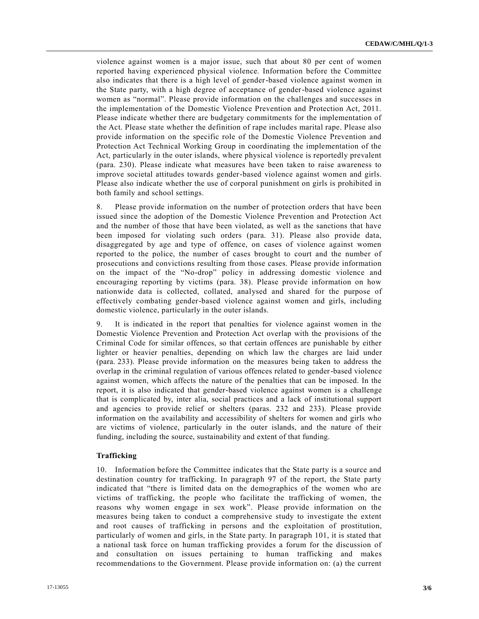violence against women is a major issue, such that about 80 per cent of women reported having experienced physical violence. Information before the Committee also indicates that there is a high level of gender-based violence against women in the State party, with a high degree of acceptance of gender-based violence against women as "normal". Please provide information on the challenges and successes in the implementation of the Domestic Violence Prevention and Protection Act, 2011. Please indicate whether there are budgetary commitments for the implementation of the Act. Please state whether the definition of rape includes marital rape. Please also provide information on the specific role of the Domestic Violence Prevention and Protection Act Technical Working Group in coordinating the implementation of the Act, particularly in the outer islands, where physical violence is reportedly prevalent (para. 230). Please indicate what measures have been taken to raise awareness to improve societal attitudes towards gender-based violence against women and girls. Please also indicate whether the use of corporal punishment on girls is prohibited in both family and school settings.

8. Please provide information on the number of protection orders that have been issued since the adoption of the Domestic Violence Prevention and Protection Act and the number of those that have been violated, as well as the sanctions that have been imposed for violating such orders (para. 31). Please also provide data, disaggregated by age and type of offence, on cases of violence against women reported to the police, the number of cases brought to court and the number of prosecutions and convictions resulting from those cases. Please provide information on the impact of the "No-drop" policy in addressing domestic violence and encouraging reporting by victims (para. 38). Please provide information on how nationwide data is collected, collated, analysed and shared for the purpose of effectively combating gender-based violence against women and girls, including domestic violence, particularly in the outer islands.

9. It is indicated in the report that penalties for violence against women in the Domestic Violence Prevention and Protection Act overlap with the provisions of the Criminal Code for similar offences, so that certain offences are punishable by either lighter or heavier penalties, depending on which law the charges are laid under (para. 233). Please provide information on the measures being taken to address the overlap in the criminal regulation of various offences related to gender-based violence against women, which affects the nature of the penalties that can be imposed. In the report, it is also indicated that gender-based violence against women is a challenge that is complicated by, inter alia, social practices and a lack of institutional support and agencies to provide relief or shelters (paras. 232 and 233). Please provide information on the availability and accessibility of shelters for women and girls who are victims of violence, particularly in the outer islands, and the nature of their funding, including the source, sustainability and extent of that funding.

# **Trafficking**

10. Information before the Committee indicates that the State party is a source and destination country for trafficking. In paragraph 97 of the report, the State party indicated that "there is limited data on the demographics of the women who are victims of trafficking, the people who facilitate the trafficking of women, the reasons why women engage in sex work". Please provide information on the measures being taken to conduct a comprehensive study to investigate the extent and root causes of trafficking in persons and the exploitation of prostitution, particularly of women and girls, in the State party. In paragraph 101, it is stated that a national task force on human trafficking provides a forum for the discussion of and consultation on issues pertaining to human trafficking and makes recommendations to the Government. Please provide information on: (a) the current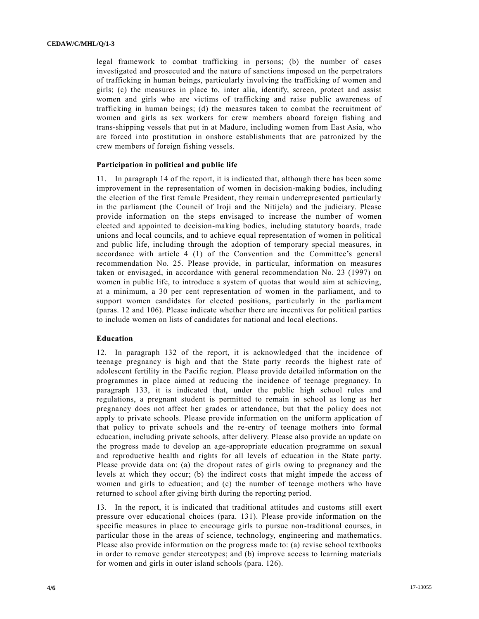legal framework to combat trafficking in persons; (b) the number of cases investigated and prosecuted and the nature of sanctions imposed on the perpetrators of trafficking in human beings, particularly involving the trafficking of women and girls; (c) the measures in place to, inter alia, identify, screen, protect and assist women and girls who are victims of trafficking and raise public awareness of trafficking in human beings; (d) the measures taken to combat the recruitment of women and girls as sex workers for crew members aboard foreign fishing and trans-shipping vessels that put in at Maduro, including women from East Asia, who are forced into prostitution in onshore establishments that are patronized by the crew members of foreign fishing vessels.

#### **Participation in political and public life**

11. In paragraph 14 of the report, it is indicated that, although there has been some improvement in the representation of women in decision-making bodies, including the election of the first female President, they remain underrepresented particularly in the parliament (the Council of Iroji and the Nitijela) and the judiciary. Please provide information on the steps envisaged to increase the number of women elected and appointed to decision-making bodies, including statutory boards, trade unions and local councils, and to achieve equal representation of women in political and public life, including through the adoption of temporary special measures, in accordance with article 4 (1) of the Convention and the Committee's general recommendation No. 25. Please provide, in particular, information on measures taken or envisaged, in accordance with general recommendation No. 23 (1997) on women in public life, to introduce a system of quotas that would aim at achieving, at a minimum, a 30 per cent representation of women in the parliament, and to support women candidates for elected positions, particularly in the parliament (paras. 12 and 106). Please indicate whether there are incentives for political parties to include women on lists of candidates for national and local elections.

#### **Education**

12. In paragraph 132 of the report, it is acknowledged that the incidence of teenage pregnancy is high and that the State party records the highest rate of adolescent fertility in the Pacific region. Please provide detailed information on the programmes in place aimed at reducing the incidence of teenage pregnancy. In paragraph 133, it is indicated that, under the public high school rules and regulations, a pregnant student is permitted to remain in school as long as her pregnancy does not affect her grades or attendance, but that the policy does not apply to private schools. Please provide information on the uniform application of that policy to private schools and the re-entry of teenage mothers into formal education, including private schools, after delivery. Please also provide an update on the progress made to develop an age-appropriate education programme on sexual and reproductive health and rights for all levels of education in the State party. Please provide data on: (a) the dropout rates of girls owing to pregnancy and the levels at which they occur; (b) the indirect costs that might impede the access of women and girls to education; and (c) the number of teenage mothers who have returned to school after giving birth during the reporting period.

13. In the report, it is indicated that traditional attitudes and customs still exert pressure over educational choices (para. 131). Please provide information on the specific measures in place to encourage girls to pursue non-traditional courses, in particular those in the areas of science, technology, engineering and mathematics. Please also provide information on the progress made to: (a) revise school textbooks in order to remove gender stereotypes; and (b) improve access to learning materials for women and girls in outer island schools (para. 126).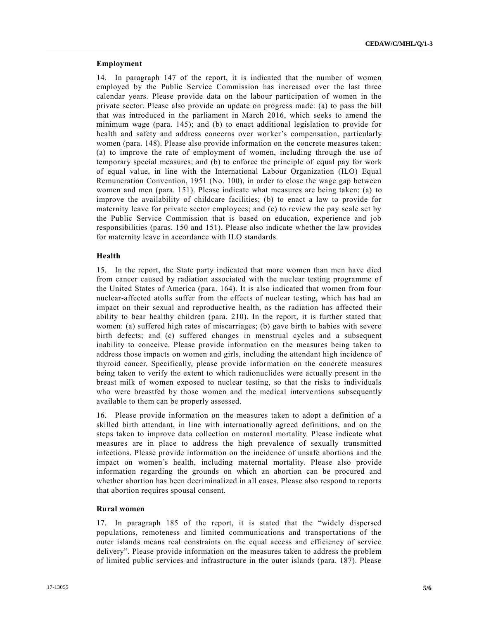# **Employment**

14. In paragraph 147 of the report, it is indicated that the number of women employed by the Public Service Commission has increased over the last three calendar years. Please provide data on the labour participation of women in the private sector. Please also provide an update on progress made: (a) to pass the bill that was introduced in the parliament in March 2016, which seeks to amend the minimum wage (para. 145); and (b) to enact additional legislation to provide for health and safety and address concerns over worker's compensation, particularly women (para. 148). Please also provide information on the concrete measures taken: (a) to improve the rate of employment of women, including through the use of temporary special measures; and (b) to enforce the principle of equal pay for work of equal value, in line with the International Labour Organization (ILO) Equal Remuneration Convention, 1951 (No. 100), in order to close the wage gap between women and men (para. 151). Please indicate what measures are being taken: (a) to improve the availability of childcare facilities; (b) to enact a law to provide for maternity leave for private sector employees; and (c) to review the pay scale set by the Public Service Commission that is based on education, experience and job responsibilities (paras. 150 and 151). Please also indicate whether the law provides for maternity leave in accordance with ILO standards.

# **Health**

15. In the report, the State party indicated that more women than men have died from cancer caused by radiation associated with the nuclear testing programme of the United States of America (para. 164). It is also indicated that women from four nuclear-affected atolls suffer from the effects of nuclear testing, which has had an impact on their sexual and reproductive health, as the radiation has affected their ability to bear healthy children (para. 210). In the report, it is further stated that women: (a) suffered high rates of miscarriages; (b) gave birth to babies with severe birth defects; and (c) suffered changes in menstrual cycles and a subsequent inability to conceive. Please provide information on the measures being taken to address those impacts on women and girls, including the attendant high incidence of thyroid cancer. Specifically, please provide information on the concrete measures being taken to verify the extent to which radionuclides were actually present in the breast milk of women exposed to nuclear testing, so that the risks to individuals who were breastfed by those women and the medical interventions subsequently available to them can be properly assessed.

16. Please provide information on the measures taken to adopt a definition of a skilled birth attendant, in line with internationally agreed definitions, and on the steps taken to improve data collection on maternal mortality. Please indicate what measures are in place to address the high prevalence of sexually transmitted infections. Please provide information on the incidence of unsafe abortions and the impact on women's health, including maternal mortality. Please also provide information regarding the grounds on which an abortion can be procured and whether abortion has been decriminalized in all cases. Please also respond to reports that abortion requires spousal consent.

# **Rural women**

17. In paragraph 185 of the report, it is stated that the "widely dispersed populations, remoteness and limited communications and transportations of the outer islands means real constraints on the equal access and efficiency of service delivery". Please provide information on the measures taken to address the problem of limited public services and infrastructure in the outer islands (para. 187). Please